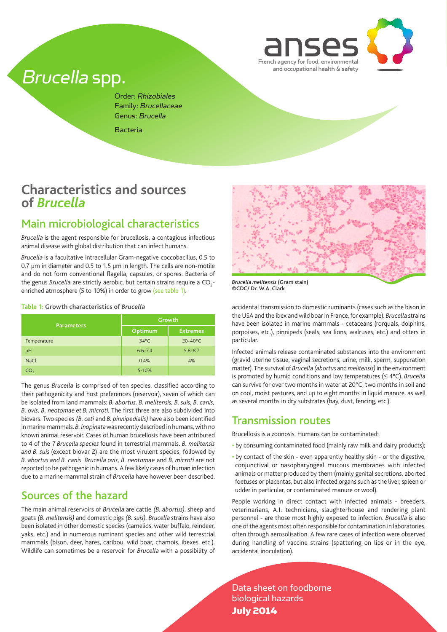

# Brucella spp.

Order: Rhizobiales Family: Brucellaceae Genus: Brucella

Bacteria

## **Characteristics and sources of** *Brucella*

## Main microbiological characteristics

*Brucella* is the agent responsible for brucellosis, a contagious infectious animal disease with global distribution that can infect humans.

*Brucella* is a facultative intracellular Gram-negative coccobacillus, 0.5 to 0.7 μm in diameter and 0.5 to 1.5 μm in length. The cells are non-motile and do not form conventional flagella, capsules, or spores. Bacteria of the genus *Brucella* are strictly aerobic, but certain strains require a CO<sub>2</sub>enriched atmosphere (5 to 10%) in order to grow (see table 1).

#### **Table 1: Growth characteristics of** *Brucella*

|                   | <b>Growth</b>  |                    |  |
|-------------------|----------------|--------------------|--|
| <b>Parameters</b> | Optimum        | <b>Extremes</b>    |  |
| Temperature       | $34^{\circ}$ C | $20 - 40^{\circ}C$ |  |
| pH                | $6.6 - 7.4$    | $5.8 - 8.7$        |  |
| <b>NaCl</b>       | 0.4%           | 4%                 |  |
| CO <sub>2</sub>   | $5 - 10%$      |                    |  |

The genus *Brucella* is comprised of ten species, classified according to their pathogenicity and host preferences (reservoir), seven of which can be isolated from land mammals: *B. abortus, B. melitensis, B. suis, B. canis, B. ovis, B. neotomae et B. microti.* The first three are also subdivided into biovars. Two species *(B. ceti* and *B. pinnipedialis)* have also been identified in marine mammals. *B. inopinata* was recently described in humans, with no known animal reservoir. Cases of human brucellosis have been attributed to 4 of the 7 *Brucella species* found in terrestrial mammals. *B. melitensis and B. suis* (except biovar 2) are the most virulent species, followed by *B. abortus and B. canis. Brucella ovis, B. neotomae* and *B. microti* are not reported to be pathogenic in humans. A few likely cases of human infection due to a marine mammal strain of *Brucella* have however been described.

### Sources of the hazard

The main animal reservoirs of *Brucella* are cattle *(B. abortus)*, sheep and goats *(B. melitensis)* and domestic pigs *(B. suis). Brucella* strains have also been isolated in other domestic species (camelids, water buffalo, reindeer, yaks, etc.) and in numerous ruminant species and other wild terrestrial mammals (bison, deer, hares, caribou, wild boar, chamois, ibexes, etc.). Wildlife can sometimes be a reservoir for *Brucella* with a possibility of



*Brucella melitensis* (Gram stain) ©CDC/ Dr. W.A. Clark

accidental transmission to domestic ruminants (cases such as the bison in the USA and the ibex and wild boar in France, for example). *Brucella* strains have been isolated in marine mammals - cetaceans (rorquals, dolphins, porpoises, etc.), pinnipeds (seals, sea lions, walruses, etc.) and otters in particular.

Infected animals release contaminated substances into the environment (gravid uterine tissue, vaginal secretions, urine, milk, sperm, suppuration matter). The survival of *Brucella (abortus* and *melitensis)* in the environment is promoted by humid conditions and low temperatures (≤ 4°C). *Brucella*  can survive for over two months in water at 20°C, two months in soil and on cool, moist pastures, and up to eight months in liquid manure, as well as several months in dry substrates (hay, dust, fencing, etc.).

### Transmission routes

Brucellosis is a zoonosis. Humans can be contaminated:

- by consuming contaminated food (mainly raw milk and dairy products);
- by contact of the skin even apparently healthy skin or the digestive, conjunctival or nasopharyngeal mucous membranes with infected animals or matter produced by them (mainly genital secretions, aborted foetuses or placentas, but also infected organs such as the liver, spleen or udder in particular, or contaminated manure or wool).

People working in direct contact with infected animals - breeders, veterinarians, A.I. technicians, slaughterhouse and rendering plant personnel - are those most highly exposed to infection. *Brucella* is also one of the agents most often responsible for contamination in laboratories, often through aerosolisation. A few rare cases of infection were observed during handling of vaccine strains (spattering on lips or in the eye, accidental inoculation).

Data sheet on foodborne biological hazards July 2014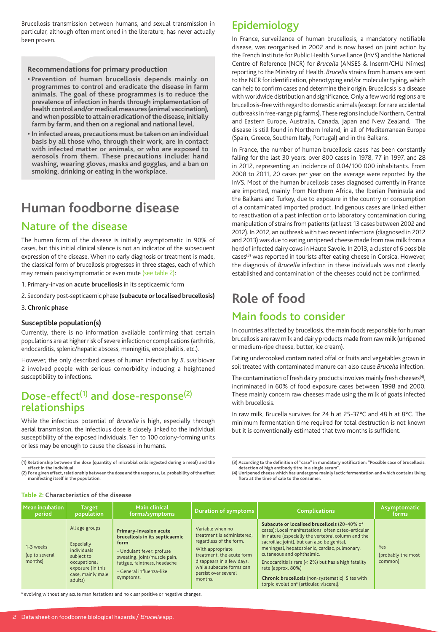Brucellosis transmission between humans, and sexual transmission in particular, although often mentioned in the literature, has never actually been proven.

### Recommendations for primary production

- **Prevention of human brucellosis depends mainly on programmes to control and eradicate the disease in farm animals. The goal of these programmes is to reduce the prevalence of infection in herds through implementation of health control and/or medical measures (animal vaccination), and when possible to attain eradication of the disease, initially farm by farm, and then on a regional and national level.**
- **In infected areas, precautions must be taken on an individual basis by all those who, through their work, are in contact with infected matter or animals, or who are exposed to aerosols from them. These precautions include: hand washing, wearing gloves, masks and goggles, and a ban on smoking, drinking or eating in the workplace.**

# **Human foodborne disease**

## Nature of the disease

The human form of the disease is initially asymptomatic in 90% of cases, but this initial clinical silence is not an indicator of the subsequent expression of the disease. When no early diagnosis or treatment is made, the classical form of brucellosis progresses in three stages, each of which may remain paucisymptomatic or even mute (see table 2):

1. Primary-invasion **acute brucellosis** in its septicaemic form

2. Secondary post-septicaemic phase **(subacute or localised brucellosis)**

#### 3. **Chronic phase**

#### **Susceptible population(s)**

Currently, there is no information available confirming that certain populations are at higher risk of severe infection or complications (arthritis, endocarditis, splenic/hepatic abscess, meningitis, encephalitis, etc.).

However, the only described cases of human infection by *B. suis* biovar 2 involved people with serious comorbidity inducing a heightened susceptibility to infections.

## Dose-effect<sup>(1)</sup> and dose-response<sup>(2)</sup> relationships

While the infectious potential of *Brucella* is high, especially through aerial transmission, the infectious dose is closely linked to the individual susceptibility of the exposed individuals. Ten to 100 colony-forming units or less may be enough to cause the disease in humans.

**(1) Relationship between the dose (quantity of microbial cells ingested during a meal) and the effect in the individual.**

**(2) For a given effect, relationship between the dose and the response, i.e. probability of the effect manifesting itself in the population.**

Epidemiology

In France, surveillance of human brucellosis, a mandatory notifiable disease, was reorganised in 2002 and is now based on joint action by the French Institute for Public Health Surveillance (InVS) and the National Centre of Reference (NCR) for *Brucella* (ANSES & Inserm/CHU Nîmes) reporting to the Ministry of Health. *Brucella* strains from humans are sent to the NCR for identification, phenotyping and/or molecular typing, which can help to confirm cases and determine their origin. Brucellosis is a disease with worldwide distribution and significance. Only a few world regions are brucellosis-free with regard to domestic animals (except for rare accidental outbreaks in free-range pig farms). These regions include Northern, Central and Eastern Europe, Australia, Canada, Japan and New Zealand. The disease is still found in Northern Ireland, in all of Mediterranean Europe (Spain, Greece, Southern Italy, Portugal) and in the Balkans.

In France, the number of human brucellosis cases has been constantly falling for the last 30 years: over 800 cases in 1978, 77 in 1997, and 28 in 2012, representing an incidence of 0.04/100 000 inhabitants. From 2008 to 2011, 20 cases per year on the average were reported by the InVS. Most of the human brucellosis cases diagnosed currently in France are imported, mainly from Northern Africa, the Iberian Peninsula and the Balkans and Turkey, due to exposure in the country or consumption of a contaminated imported product. Indigenous cases are linked either to reactivation of a past infection or to laboratory contamination during manipulation of strains from patients (at least 13 cases between 2002 and 2012). In 2012, an outbreak with two recent infections (diagnosed in 2012 and 2013) was due to eating unripened cheese made from raw milk from a herd of infected dairy cows in Haute Savoie. In 2013, a cluster of 6 possible cases<sup>(3)</sup> was reported in tourists after eating cheese in Corsica. However, the diagnosis of *Brucella* infection in these individuals was not clearly established and contamination of the cheeses could not be confirmed.

# **Role of food**

## Main foods to consider

In countries affected by brucellosis, the main foods responsible for human brucellosis are raw milk and dairy products made from raw milk (unripened or medium-ripe cheese, butter, ice cream).

Eating undercooked contaminated offal or fruits and vegetables grown in soil treated with contaminated manure can also cause *Brucella* infection.

The contamination of fresh dairy products involves mainly fresh cheeses<sup>(4)</sup>, incriminated in 60% of food exposure cases between 1998 and 2000. These mainly concern raw cheeses made using the milk of goats infected with brucellosis.

In raw milk, Brucella survives for 24 h at 25-37°C and 48 h at 8°C. The minimum fermentation time required for total destruction is not known but it is conventionally estimated that two months is sufficient.

**(3) According to the definition of ''case'' in mandatory notification: ''Possible case of brucellosis: detection of high antibody titre in a single serum''.**

**(4) Unripened cheese which has undergone mainly lactic fermentation and which contains living flora at the time of sale to the consumer.**

| Mean incubation<br>period              | <b>Target</b><br>population                                                                                                    | <b>Main clinical</b><br>forms/symptoms                                                                                                                                                                        | <b>Duration of symptoms</b>                                                                                                                                                                                            | <b>Complications</b>                                                                                                                                                                                                                                                                                                                                                                                                                                                            | Asymptomatic<br>forms                |
|----------------------------------------|--------------------------------------------------------------------------------------------------------------------------------|---------------------------------------------------------------------------------------------------------------------------------------------------------------------------------------------------------------|------------------------------------------------------------------------------------------------------------------------------------------------------------------------------------------------------------------------|---------------------------------------------------------------------------------------------------------------------------------------------------------------------------------------------------------------------------------------------------------------------------------------------------------------------------------------------------------------------------------------------------------------------------------------------------------------------------------|--------------------------------------|
| 1-3 weeks<br>(up to several<br>months) | All age groups<br>Especially<br>individuals<br>subject to<br>occupational<br>exposure (in this<br>case, mainly male<br>adults) | <b>Primary-invasion acute</b><br>brucellosis in its septicaemic<br>form<br>- Undulant fever: profuse<br>sweating, joint/muscle pain,<br>fatigue, faintness, headache<br>- General influenza-like<br>symptoms. | Variable when no<br>treatment is administered.<br>regardless of the form.<br>With appropriate<br>treatment, the acute form<br>disappears in a few days,<br>while subacute forms can<br>persist over several<br>months. | Subacute or localised brucellosis (20-40% of<br>cases): Local manifestations, often osteo-articular<br>in nature (especially the vertebral column and the<br>sacroiliac joint), but can also be genital,<br>meningeal, hepatosplenic, cardiac, pulmonary,<br>cutaneous and ophthalmic.<br>Endocarditis is rare (< 2%) but has a high fatality<br>rate (approx. 80%)<br>Chronic brucellosis (non-systematic): Sites with<br>torpid evolution <sup>a</sup> (articular, visceral). | Yes<br>(probably the most<br>common) |

**Table 2: Characteristics of the disease**

<sup>a</sup> evolving without any acute manifestations and no clear positive or negative changes.